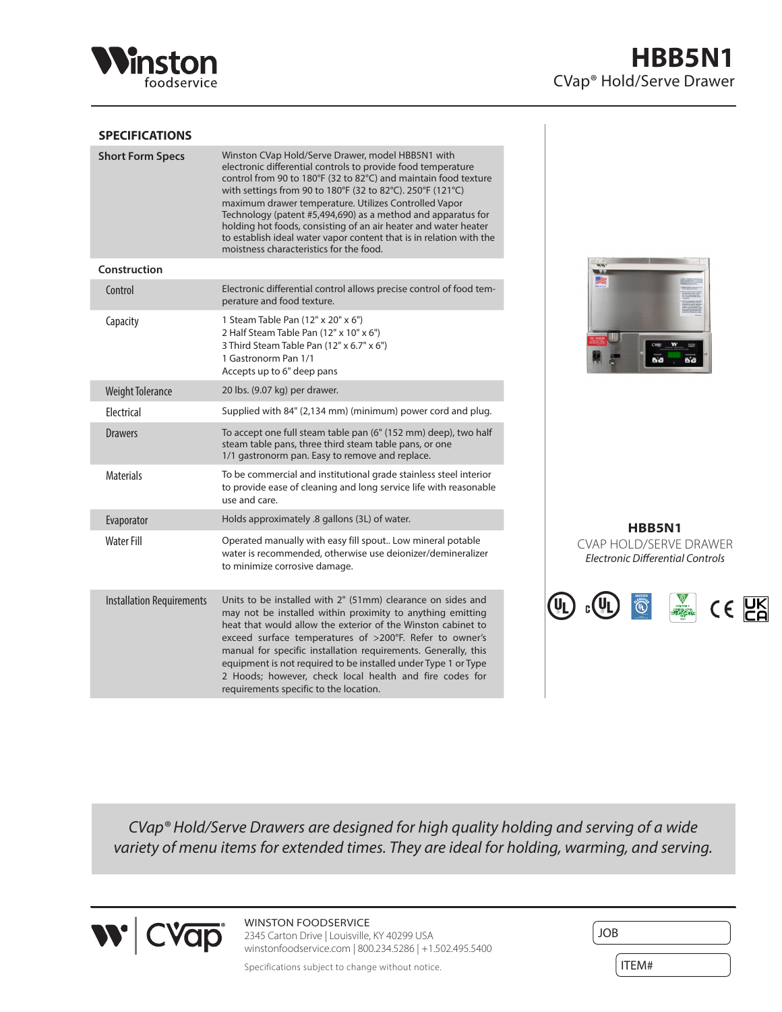

# **SPECIFICATIONS**

| <b>Short Form Specs</b>          | Winston CVap Hold/Serve Drawer, model HBB5N1 with<br>electronic differential controls to provide food temperature<br>control from 90 to 180°F (32 to 82°C) and maintain food texture<br>with settings from 90 to 180°F (32 to 82°C). 250°F (121°C)<br>maximum drawer temperature. Utilizes Controlled Vapor<br>Technology (patent #5,494,690) as a method and apparatus for<br>holding hot foods, consisting of an air heater and water heater<br>to establish ideal water vapor content that is in relation with the<br>moistness characteristics for the food. |
|----------------------------------|------------------------------------------------------------------------------------------------------------------------------------------------------------------------------------------------------------------------------------------------------------------------------------------------------------------------------------------------------------------------------------------------------------------------------------------------------------------------------------------------------------------------------------------------------------------|
| Construction                     |                                                                                                                                                                                                                                                                                                                                                                                                                                                                                                                                                                  |
| Control                          | Electronic differential control allows precise control of food tem-<br>perature and food texture.                                                                                                                                                                                                                                                                                                                                                                                                                                                                |
| Capacity                         | 1 Steam Table Pan (12" x 20" x 6")<br>2 Half Steam Table Pan (12" x 10" x 6")<br>3 Third Steam Table Pan (12" x 6.7" x 6")<br>1 Gastronorm Pan 1/1<br>Accepts up to 6" deep pans                                                                                                                                                                                                                                                                                                                                                                                 |
| <b>Weight Tolerance</b>          | 20 lbs. (9.07 kg) per drawer.                                                                                                                                                                                                                                                                                                                                                                                                                                                                                                                                    |
| Electrical                       | Supplied with 84" (2,134 mm) (minimum) power cord and plug.                                                                                                                                                                                                                                                                                                                                                                                                                                                                                                      |
| <b>Drawers</b>                   | To accept one full steam table pan (6" (152 mm) deep), two half<br>steam table pans, three third steam table pans, or one<br>1/1 gastronorm pan. Easy to remove and replace.                                                                                                                                                                                                                                                                                                                                                                                     |
| <b>Materials</b>                 | To be commercial and institutional grade stainless steel interior<br>to provide ease of cleaning and long service life with reasonable<br>use and care.                                                                                                                                                                                                                                                                                                                                                                                                          |
| Evaporator                       | Holds approximately .8 gallons (3L) of water.                                                                                                                                                                                                                                                                                                                                                                                                                                                                                                                    |
| <b>Water Fill</b>                | Operated manually with easy fill spout Low mineral potable<br>water is recommended, otherwise use deionizer/demineralizer<br>to minimize corrosive damage.                                                                                                                                                                                                                                                                                                                                                                                                       |
| <b>Installation Requirements</b> | Units to be installed with 2" (51mm) clearance on sides and<br>may not be installed within proximity to anything emitting<br>heat that would allow the exterior of the Winston cabinet to<br>exceed surface temperatures of >200°F. Refer to owner's<br>manual for specific installation requirements. Generally, this<br>equipment is not required to be installed under Type 1 or Type<br>2 Hoods; however, check local health and fire codes for<br>requirements specific to the location.                                                                    |



**HBB5N1** CVAP HOLD/SERVE DRAWER *Electronic Differential Controls*



*CVap® Hold/Serve Drawers are designed for high quality holding and serving of a wide variety of menu items for extended times. They are ideal for holding, warming, and serving.*



WINSTON FOODSERVICE 2345 Carton Drive | Louisville, KY 40299 USA winstonfoodservice.com | 800.234.5286 | +1.502.495.5400

| <b>JOB</b> |  |
|------------|--|
| <b>M</b> 4 |  |

Specifications subject to change without notice.